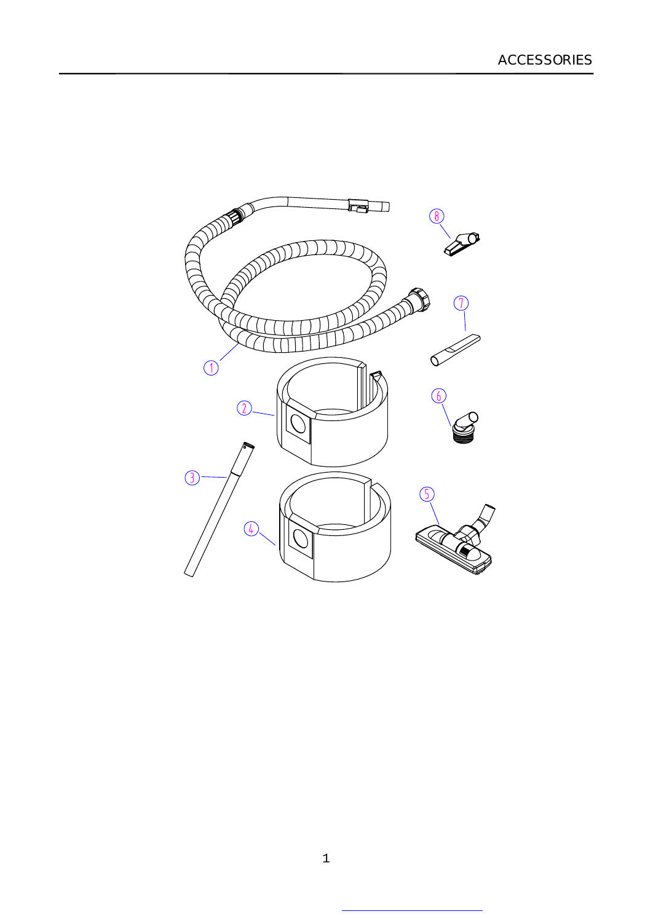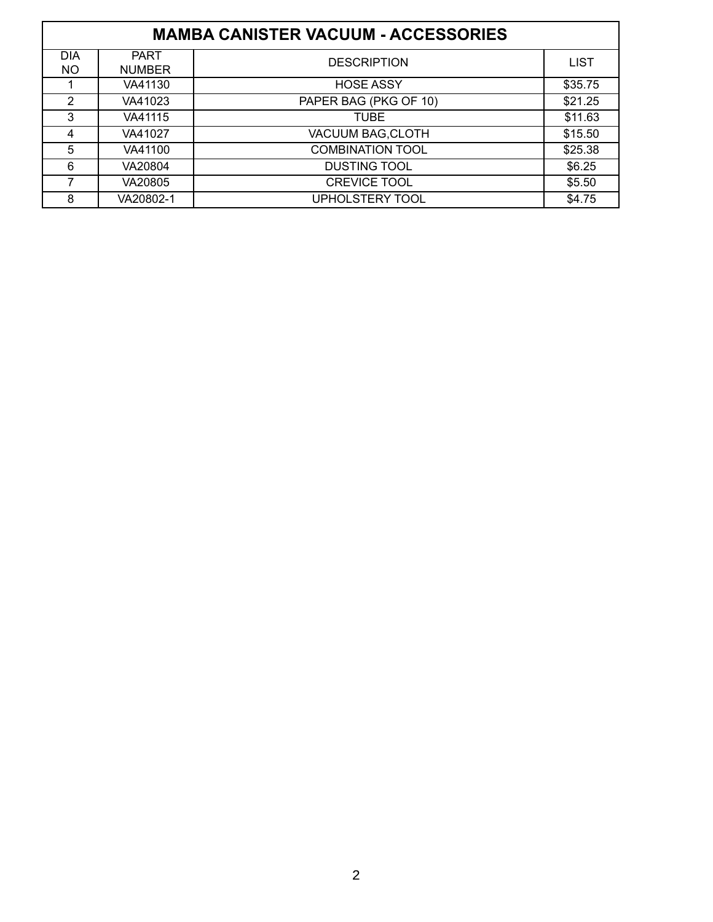| <b>MAMBA CANISTER VACUUM - ACCESSORIES</b> |                              |                         |             |  |  |
|--------------------------------------------|------------------------------|-------------------------|-------------|--|--|
| <b>DIA</b><br><b>NO</b>                    | <b>PART</b><br><b>NUMBER</b> | <b>DESCRIPTION</b>      | <b>LIST</b> |  |  |
|                                            | VA41130                      | <b>HOSE ASSY</b>        | \$35.75     |  |  |
| 2                                          | VA41023                      | PAPER BAG (PKG OF 10)   | \$21.25     |  |  |
| 3                                          | VA41115                      | <b>TUBE</b>             | \$11.63     |  |  |
| 4                                          | VA41027                      | VACUUM BAG, CLOTH       | \$15.50     |  |  |
| 5                                          | VA41100                      | <b>COMBINATION TOOL</b> | \$25.38     |  |  |
| 6                                          | VA20804                      | <b>DUSTING TOOL</b>     | \$6.25      |  |  |
| 7                                          | VA20805                      | <b>CREVICE TOOL</b>     | \$5.50      |  |  |
| 8                                          | VA20802-1                    | <b>UPHOLSTERY TOOL</b>  | \$4.75      |  |  |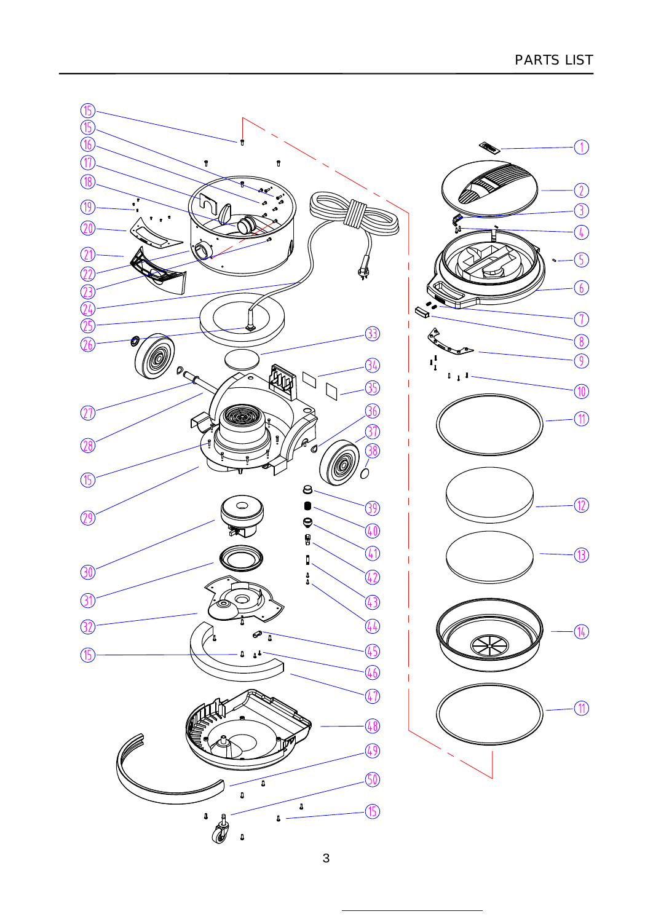